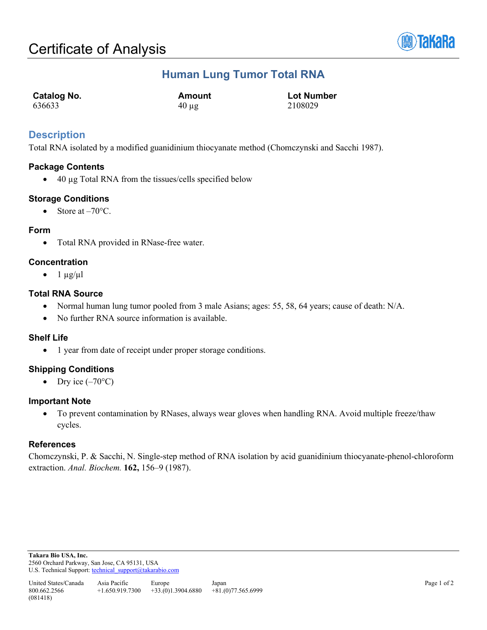

## **Human Lung Tumor Total RNA**

| Catalog No. | Amount     | <b>Lot Number</b> |
|-------------|------------|-------------------|
| 636633      | $40 \mu$ g | 2108029           |

## **Description**

Total RNA isolated by a modified guanidinium thiocyanate method (Chomczynski and Sacchi 1987).

### **Package Contents**

• 40 µg Total RNA from the tissues/cells specified below

### **Storage Conditions**

• Store at  $-70^{\circ}$ C.

#### **Form**

• Total RNA provided in RNase-free water.

### **Concentration**

 $\bullet$  1  $\mu$ g/ $\mu$ l

### **Total RNA Source**

- Normal human lung tumor pooled from 3 male Asians; ages: 55, 58, 64 years; cause of death: N/A.
- No further RNA source information is available.

### **Shelf Life**

• 1 year from date of receipt under proper storage conditions.

### **Shipping Conditions**

• Dry ice  $(-70^{\circ}C)$ 

#### **Important Note**

• To prevent contamination by RNases, always wear gloves when handling RNA. Avoid multiple freeze/thaw cycles.

### **References**

Chomczynski, P. & Sacchi, N. Single-step method of RNA isolation by acid guanidinium thiocyanate-phenol-chloroform extraction. *Anal. Biochem.* **162,** 156–9 (1987).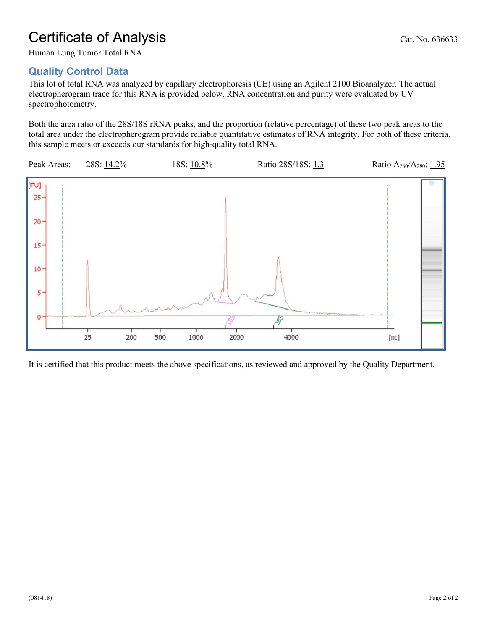# Certificate of Analysis Cat. No. 636633

## **Quality Control Data**

This lot of total RNA was analyzed by capillary electrophoresis (CE) using an Agilent 2100 Bioanalyzer. The actual electropherogram trace for this RNA is provided below. RNA concentration and purity were evaluated by UV spectrophotometry.

Both the area ratio of the 28S/18S rRNA peaks, and the proportion (relative percentage) of these two peak areas to the total area under the electropherogram provide reliable quantitative estimates of RNA integrity. For both of these criteria, this sample meets or exceeds our standards for high-quality total RNA.



It is certified that this product meets the above specifications, as reviewed and approved by the Quality Department.